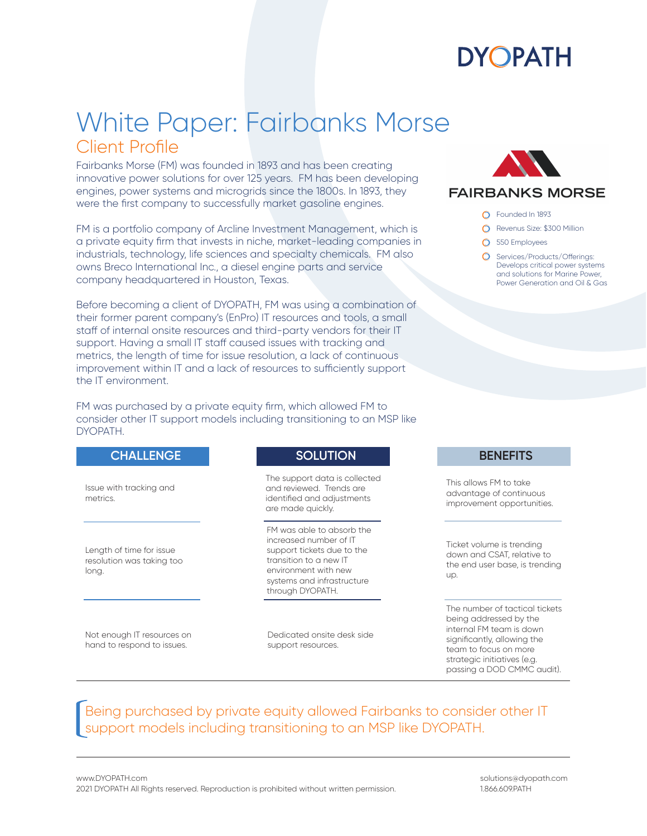

### White Paper: Fairbanks Morse Client Profile

Fairbanks Morse (FM) was founded in 1893 and has been creating innovative power solutions for over 125 years. FM has been developing engines, power systems and microgrids since the 1800s. In 1893, they were the first company to successfully market gasoline engines.

FM is a portfolio company of Arcline Investment Management, which is a private equity firm that invests in niche, market-leading companies in industrials, technology, life sciences and specialty chemicals. FM also owns Breco International Inc., a diesel engine parts and service company headquartered in Houston, Texas.

Before becoming a client of DYOPATH, FM was using a combination of their former parent company's (EnPro) IT resources and tools, a small staff of internal onsite resources and third-party vendors for their IT support. Having a small IT staff caused issues with tracking and metrics, the length of time for issue resolution, a lack of continuous improvement within IT and a lack of resources to sufficiently support the IT environment.

FM was purchased by a private equity firm, which allowed FM to consider other IT support models including transitioning to an MSP like DYOPATH.

#### **CHALLENGE**

Issue with tracking and metrics.

Length of time for issue resolution was taking too long.

Not enough IT resources on hand to respond to issues.

### **SOLUTION**

The support data is collected and reviewed. Trends are identified and adjustments are made quickly.

FM was able to absorb the increased number of IT support tickets due to the transition to a new IT environment with new systems and infrastructure through DYOPATH.

Dedicated onsite desk side support resources.



### **FAIRBANKS MORSE**

- Founded In 1893
- **O** Revenus Size: \$300 Million
- 550 Employees
- **Q** Services/Products/Offerings: Develops critical power systems and solutions for Marine Power, Power Generation and Oil & Gas

#### **BENEFITS**

This allows FM to take advantage of continuous improvement opportunities.

Ticket volume is trending down and CSAT, relative to the end user base, is trending up.

The number of tactical tickets being addressed by the internal FM team is down significantly, allowing the team to focus on more strategic initiatives (e.g. passing a DOD CMMC audit).

### Being purchased by private equity allowed Fairbanks to consider other IT support models including transitioning to an MSP like DYOPATH.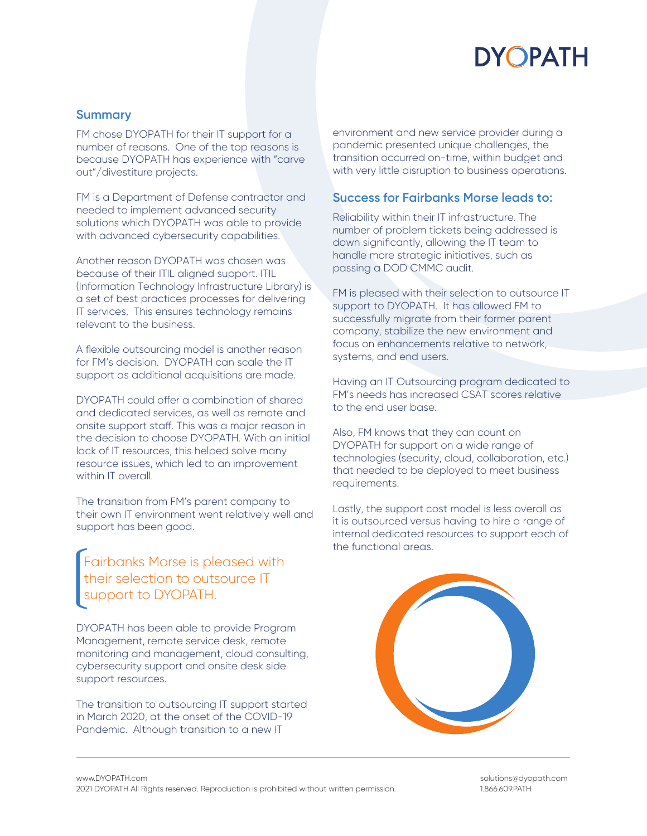# **DYOPATH**

### **Summary**

FM chose DYOPATH for their IT support for a number of reasons. One of the top reasons is because DYOPATH has experience with "carve out"/divestiture projects.

FM is a Department of Defense contractor and needed to implement advanced security solutions which DYOPATH was able to provide with advanced cybersecurity capabilities.

Another reason DYOPATH was chosen was because of their ITIL aligned support. ITIL (Information Technology Infrastructure Library) is a set of best practices processes for delivering IT services. This ensures technology remains relevant to the business.

A flexible outsourcing model is another reason for FM's decision. DYOPATH can scale the IT support as additional acquisitions are made.

DYOPATH could offer a combination of shared and dedicated services, as well as remote and onsite support staff. This was a major reason in the decision to choose DYOPATH. With an initial lack of IT resources, this helped solve many resource issues, which led to an improvement within IT overall.

The transition from FM's parent company to their own IT environment went relatively well and support has been good.

Fairbanks Morse is pleased with their selection to outsource IT support to DYOPATH.

DYOPATH has been able to provide Program Management, remote service desk, remote monitoring and management, cloud consulting, cybersecurity support and onsite desk side support resources.

The transition to outsourcing IT support started in March 2020, at the onset of the COVID-19 Pandemic. Although transition to a new IT

environment and new service provider during a pandemic presented unique challenges, the transition occurred on-time, within budget and with very little disruption to business operations.

### **Success for Fairbanks Morse leads to:**

Reliability within their IT infrastructure. The number of problem tickets being addressed is down significantly, allowing the IT team to handle more strategic initiatives, such as passing a DOD CMMC audit.

FM is pleased with their selection to outsource IT support to DYOPATH. It has allowed FM to successfully migrate from their former parent company, stabilize the new environment and focus on enhancements relative to network, systems, and end users.

Having an IT Outsourcing program dedicated to FM's needs has increased CSAT scores relative to the end user base.

Also, FM knows that they can count on DYOPATH for support on a wide range of technologies (security, cloud, collaboration, etc.) that needed to be deployed to meet business requirements.

Lastly, the support cost model is less overall as it is outsourced versus having to hire a range of internal dedicated resources to support each of the functional areas.